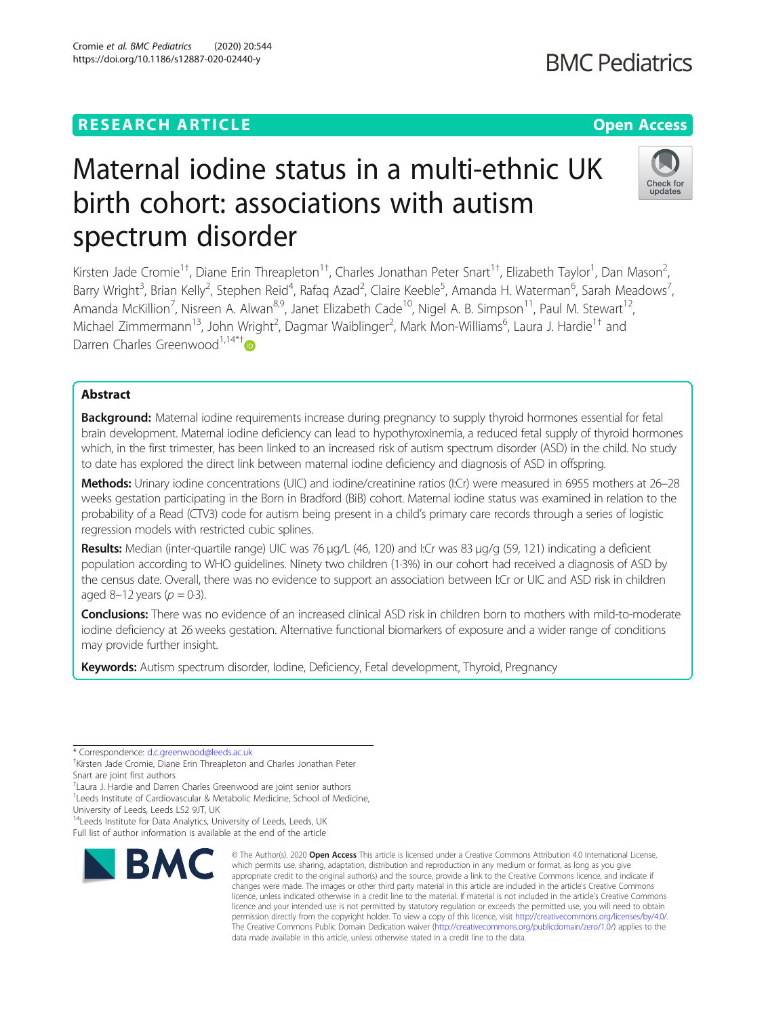### **RESEARCH ARTICLE Example 2018 12:30 The Contract of Contract ACCESS**

# Maternal iodine status in a multi-ethnic UK birth cohort: associations with autism spectrum disorder

Kirsten Jade Cromie<sup>1†</sup>, Diane Erin Threapleton<sup>1†</sup>, Charles Jonathan Peter Snart<sup>1†</sup>, Elizabeth Taylor<sup>1</sup>, Dan Mason<sup>2</sup> , Barry Wright<sup>3</sup>, Brian Kelly<sup>2</sup>, Stephen Reid<sup>4</sup>, Rafaq Azad<sup>2</sup>, Claire Keeble<sup>5</sup>, Amanda H. Waterman<sup>6</sup>, Sarah Meadows<sup>7</sup> , Amanda McKillion<sup>7</sup>, Nisreen A. Alwan<sup>8,9</sup>, Janet Elizabeth Cade<sup>10</sup>, Nigel A. B. Simpson<sup>11</sup>, Paul M. Stewart<sup>12</sup>, Michael Zimmermann<sup>13</sup>, John Wright<sup>2</sup>, Dagmar Waiblinger<sup>2</sup>, Mark Mon-Williams<sup>6</sup>, Laura J. Hardie<sup>1†</sup> and Darren Charles Greenwood<sup>1,14\*†</sup>

#### Abstract

Background: Maternal iodine requirements increase during pregnancy to supply thyroid hormones essential for fetal brain development. Maternal iodine deficiency can lead to hypothyroxinemia, a reduced fetal supply of thyroid hormones which, in the first trimester, has been linked to an increased risk of autism spectrum disorder (ASD) in the child. No study to date has explored the direct link between maternal iodine deficiency and diagnosis of ASD in offspring.

Methods: Urinary iodine concentrations (UIC) and iodine/creatinine ratios (I:Cr) were measured in 6955 mothers at 26-28 weeks gestation participating in the Born in Bradford (BiB) cohort. Maternal iodine status was examined in relation to the probability of a Read (CTV3) code for autism being present in a child's primary care records through a series of logistic regression models with restricted cubic splines.

Results: Median (inter-quartile range) UIC was 76 μg/L (46, 120) and I:Cr was 83 μg/g (59, 121) indicating a deficient population according to WHO guidelines. Ninety two children (1·3%) in our cohort had received a diagnosis of ASD by the census date. Overall, there was no evidence to support an association between I:Cr or UIC and ASD risk in children aged 8–12 years ( $p = 0.3$ ).

**Conclusions:** There was no evidence of an increased clinical ASD risk in children born to mothers with mild-to-moderate iodine deficiency at 26 weeks gestation. Alternative functional biomarkers of exposure and a wider range of conditions may provide further insight.

Keywords: Autism spectrum disorder, Iodine, Deficiency, Fetal development, Thyroid, Pregnancy

<sup>4</sup> Leeds Institute for Data Analytics, University of Leeds, Leeds, UK

Full list of author information is available at the end of the article

## Cromie et al. BMC Pediatrics (2020) 20:544

https://doi.org/10.1186/s12887-020-02440-y

which permits use, sharing, adaptation, distribution and reproduction in any medium or format, as long as you give appropriate credit to the original author(s) and the source, provide a link to the Creative Commons licence, and indicate if changes were made. The images or other third party material in this article are included in the article's Creative Commons licence, unless indicated otherwise in a credit line to the material. If material is not included in the article's Creative Commons licence and your intended use is not permitted by statutory regulation or exceeds the permitted use, you will need to obtain permission directly from the copyright holder. To view a copy of this licence, visit [http://creativecommons.org/licenses/by/4.0/.](http://creativecommons.org/licenses/by/4.0/) The Creative Commons Public Domain Dedication waiver [\(http://creativecommons.org/publicdomain/zero/1.0/](http://creativecommons.org/publicdomain/zero/1.0/)) applies to the data made available in this article, unless otherwise stated in a credit line to the data.

© The Author(s), 2020 **Open Access** This article is licensed under a Creative Commons Attribution 4.0 International License,



undates





<sup>\*</sup> Correspondence: [d.c.greenwood@leeds.ac.uk](mailto:d.c.greenwood@leeds.ac.uk) †

Kirsten Jade Cromie, Diane Erin Threapleton and Charles Jonathan Peter

Snart are joint first authors

<sup>†</sup> Laura J. Hardie and Darren Charles Greenwood are joint senior authors <sup>1</sup> Leeds Institute of Cardiovascular & Metabolic Medicine, School of Medicine,

University of Leeds, Leeds LS2 9JT, UK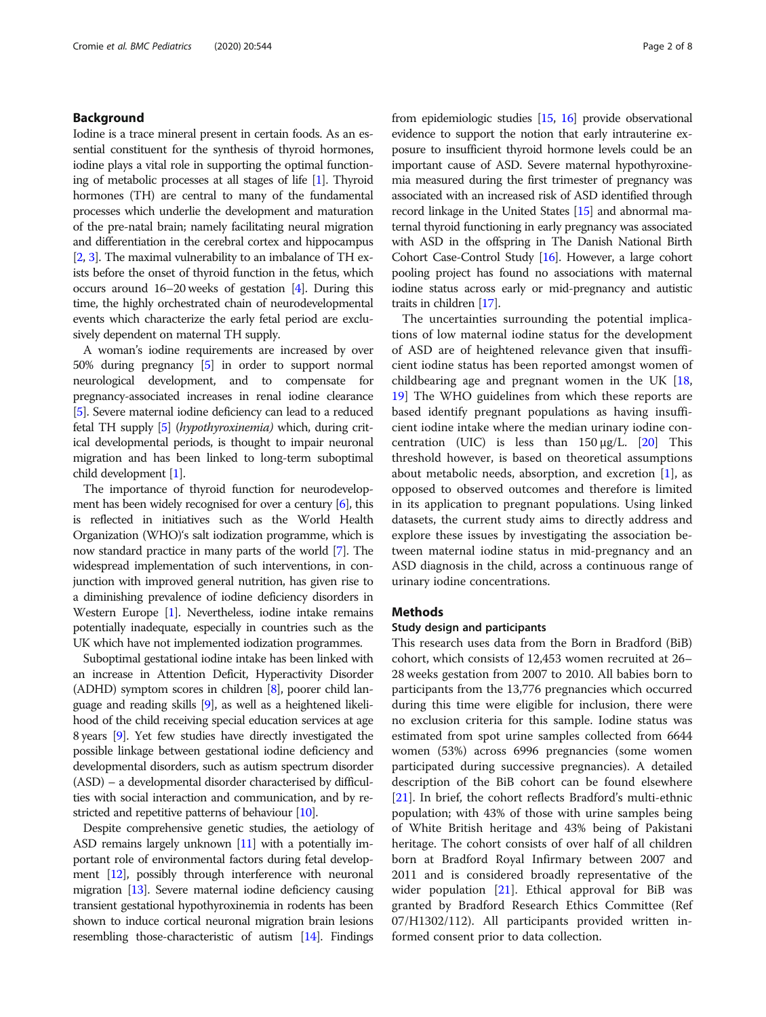#### Background

Iodine is a trace mineral present in certain foods. As an essential constituent for the synthesis of thyroid hormones, iodine plays a vital role in supporting the optimal functioning of metabolic processes at all stages of life [[1](#page-7-0)]. Thyroid hormones (TH) are central to many of the fundamental processes which underlie the development and maturation of the pre-natal brain; namely facilitating neural migration and differentiation in the cerebral cortex and hippocampus [[2](#page-7-0), [3\]](#page-7-0). The maximal vulnerability to an imbalance of TH exists before the onset of thyroid function in the fetus, which occurs around 16–20 weeks of gestation [\[4](#page-7-0)]. During this time, the highly orchestrated chain of neurodevelopmental events which characterize the early fetal period are exclusively dependent on maternal TH supply.

A woman's iodine requirements are increased by over 50% during pregnancy [\[5\]](#page-7-0) in order to support normal neurological development, and to compensate for pregnancy-associated increases in renal iodine clearance [[5](#page-7-0)]. Severe maternal iodine deficiency can lead to a reduced fetal TH supply [\[5](#page-7-0)] (hypothyroxinemia) which, during critical developmental periods, is thought to impair neuronal migration and has been linked to long-term suboptimal child development [[1](#page-7-0)].

The importance of thyroid function for neurodevelopment has been widely recognised for over a century [\[6\]](#page-7-0), this is reflected in initiatives such as the World Health Organization (WHO)'s salt iodization programme, which is now standard practice in many parts of the world [[7](#page-7-0)]. The widespread implementation of such interventions, in conjunction with improved general nutrition, has given rise to a diminishing prevalence of iodine deficiency disorders in Western Europe [\[1\]](#page-7-0). Nevertheless, iodine intake remains potentially inadequate, especially in countries such as the UK which have not implemented iodization programmes.

Suboptimal gestational iodine intake has been linked with an increase in Attention Deficit, Hyperactivity Disorder (ADHD) symptom scores in children [[8](#page-7-0)], poorer child language and reading skills [\[9\]](#page-7-0), as well as a heightened likelihood of the child receiving special education services at age 8 years [[9](#page-7-0)]. Yet few studies have directly investigated the possible linkage between gestational iodine deficiency and developmental disorders, such as autism spectrum disorder (ASD) – a developmental disorder characterised by difficulties with social interaction and communication, and by re-stricted and repetitive patterns of behaviour [\[10](#page-7-0)].

Despite comprehensive genetic studies, the aetiology of ASD remains largely unknown [\[11](#page-7-0)] with a potentially important role of environmental factors during fetal development [\[12](#page-7-0)], possibly through interference with neuronal migration [\[13\]](#page-7-0). Severe maternal iodine deficiency causing transient gestational hypothyroxinemia in rodents has been shown to induce cortical neuronal migration brain lesions resembling those-characteristic of autism [[14](#page-7-0)]. Findings from epidemiologic studies [\[15](#page-7-0), [16\]](#page-7-0) provide observational evidence to support the notion that early intrauterine exposure to insufficient thyroid hormone levels could be an important cause of ASD. Severe maternal hypothyroxinemia measured during the first trimester of pregnancy was associated with an increased risk of ASD identified through record linkage in the United States [\[15\]](#page-7-0) and abnormal maternal thyroid functioning in early pregnancy was associated with ASD in the offspring in The Danish National Birth Cohort Case-Control Study [\[16\]](#page-7-0). However, a large cohort pooling project has found no associations with maternal iodine status across early or mid-pregnancy and autistic traits in children [\[17](#page-7-0)].

The uncertainties surrounding the potential implications of low maternal iodine status for the development of ASD are of heightened relevance given that insufficient iodine status has been reported amongst women of childbearing age and pregnant women in the UK [[18](#page-7-0), [19\]](#page-7-0) The WHO guidelines from which these reports are based identify pregnant populations as having insufficient iodine intake where the median urinary iodine concentration (UIC) is less than  $150 \mu g/L$ . [\[20](#page-7-0)] This threshold however, is based on theoretical assumptions about metabolic needs, absorption, and excretion  $[1]$  $[1]$  $[1]$ , as opposed to observed outcomes and therefore is limited in its application to pregnant populations. Using linked datasets, the current study aims to directly address and explore these issues by investigating the association between maternal iodine status in mid-pregnancy and an ASD diagnosis in the child, across a continuous range of urinary iodine concentrations.

#### Methods

#### Study design and participants

This research uses data from the Born in Bradford (BiB) cohort, which consists of 12,453 women recruited at 26– 28 weeks gestation from 2007 to 2010. All babies born to participants from the 13,776 pregnancies which occurred during this time were eligible for inclusion, there were no exclusion criteria for this sample. Iodine status was estimated from spot urine samples collected from 6644 women (53%) across 6996 pregnancies (some women participated during successive pregnancies). A detailed description of the BiB cohort can be found elsewhere [[21\]](#page-7-0). In brief, the cohort reflects Bradford's multi-ethnic population; with 43% of those with urine samples being of White British heritage and 43% being of Pakistani heritage. The cohort consists of over half of all children born at Bradford Royal Infirmary between 2007 and 2011 and is considered broadly representative of the wider population  $[21]$  $[21]$ . Ethical approval for BiB was granted by Bradford Research Ethics Committee (Ref 07/H1302/112). All participants provided written informed consent prior to data collection.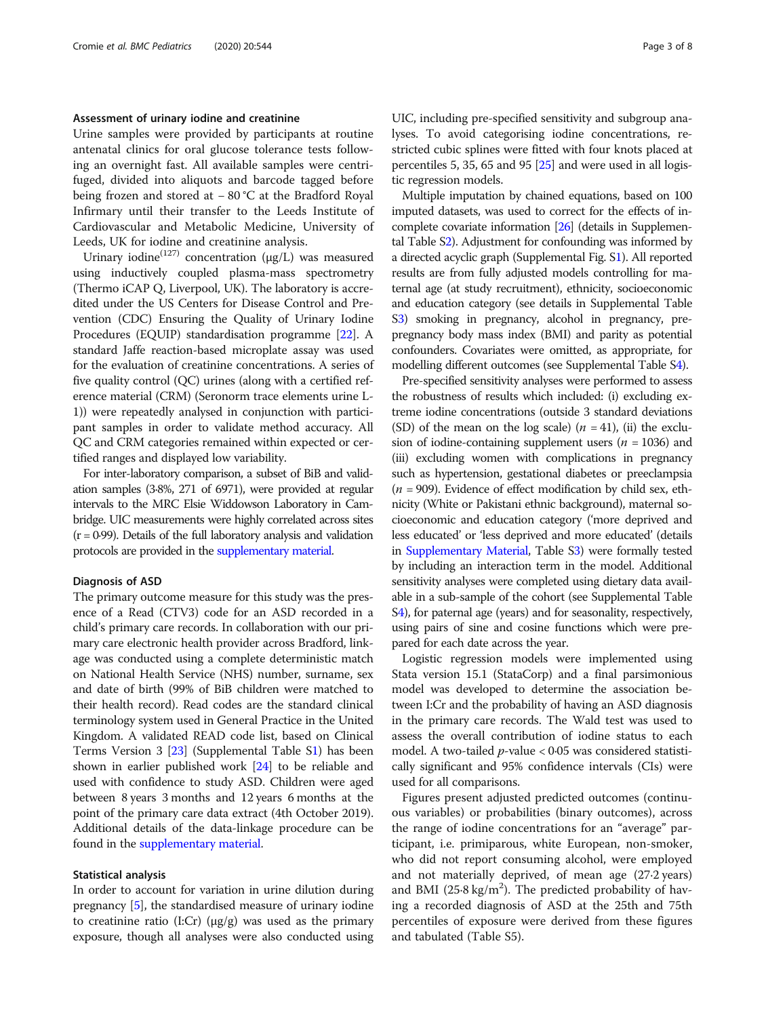#### Assessment of urinary iodine and creatinine

Urine samples were provided by participants at routine antenatal clinics for oral glucose tolerance tests following an overnight fast. All available samples were centrifuged, divided into aliquots and barcode tagged before being frozen and stored at − 80 °C at the Bradford Royal Infirmary until their transfer to the Leeds Institute of Cardiovascular and Metabolic Medicine, University of Leeds, UK for iodine and creatinine analysis.

Urinary iodine<sup>(127)</sup> concentration ( $\mu$ g/L) was measured using inductively coupled plasma-mass spectrometry (Thermo iCAP Q, Liverpool, UK). The laboratory is accredited under the US Centers for Disease Control and Prevention (CDC) Ensuring the Quality of Urinary Iodine Procedures (EQUIP) standardisation programme [\[22](#page-7-0)]. A standard Jaffe reaction-based microplate assay was used for the evaluation of creatinine concentrations. A series of five quality control (QC) urines (along with a certified reference material (CRM) (Seronorm trace elements urine L-1)) were repeatedly analysed in conjunction with participant samples in order to validate method accuracy. All QC and CRM categories remained within expected or certified ranges and displayed low variability.

For inter-laboratory comparison, a subset of BiB and validation samples (3·8%, 271 of 6971), were provided at regular intervals to the MRC Elsie Widdowson Laboratory in Cambridge. UIC measurements were highly correlated across sites  $(r = 0.99)$ . Details of the full laboratory analysis and validation protocols are provided in the [supplementary material.](#page-6-0)

#### Diagnosis of ASD

The primary outcome measure for this study was the presence of a Read (CTV3) code for an ASD recorded in a child's primary care records. In collaboration with our primary care electronic health provider across Bradford, linkage was conducted using a complete deterministic match on National Health Service (NHS) number, surname, sex and date of birth (99% of BiB children were matched to their health record). Read codes are the standard clinical terminology system used in General Practice in the United Kingdom. A validated READ code list, based on Clinical Terms Version 3 [\[23\]](#page-7-0) (Supplemental Table S[1\)](#page-6-0) has been shown in earlier published work [\[24\]](#page-7-0) to be reliable and used with confidence to study ASD. Children were aged between 8 years 3 months and 12 years 6 months at the point of the primary care data extract (4th October 2019). Additional details of the data-linkage procedure can be found in the [supplementary material.](#page-6-0)

#### Statistical analysis

In order to account for variation in urine dilution during pregnancy [\[5\]](#page-7-0), the standardised measure of urinary iodine to creatinine ratio (I:Cr) (μg/g) was used as the primary exposure, though all analyses were also conducted using UIC, including pre-specified sensitivity and subgroup analyses. To avoid categorising iodine concentrations, restricted cubic splines were fitted with four knots placed at percentiles 5, 35, 65 and 95  $[25]$  and were used in all logistic regression models.

Multiple imputation by chained equations, based on 100 imputed datasets, was used to correct for the effects of incomplete covariate information [\[26\]](#page-7-0) (details in Supplemental Table S[2](#page-6-0)). Adjustment for confounding was informed by a directed acyclic graph (Supplemental Fig. S[1\)](#page-6-0). All reported results are from fully adjusted models controlling for maternal age (at study recruitment), ethnicity, socioeconomic and education category (see details in Supplemental Table S[3](#page-6-0)) smoking in pregnancy, alcohol in pregnancy, prepregnancy body mass index (BMI) and parity as potential confounders. Covariates were omitted, as appropriate, for modelling different outcomes (see Supplemental Table S[4\)](#page-6-0).

Pre-specified sensitivity analyses were performed to assess the robustness of results which included: (i) excluding extreme iodine concentrations (outside 3 standard deviations (SD) of the mean on the log scale)  $(n = 41)$ , (ii) the exclusion of iodine-containing supplement users ( $n = 1036$ ) and (iii) excluding women with complications in pregnancy such as hypertension, gestational diabetes or preeclampsia  $(n = 909)$ . Evidence of effect modification by child sex, ethnicity (White or Pakistani ethnic background), maternal socioeconomic and education category ('more deprived and less educated' or 'less deprived and more educated' (details in [Supplementary Material,](#page-6-0) Table S[3](#page-6-0)) were formally tested by including an interaction term in the model. Additional sensitivity analyses were completed using dietary data available in a sub-sample of the cohort (see Supplemental Table S[4](#page-6-0)), for paternal age (years) and for seasonality, respectively, using pairs of sine and cosine functions which were prepared for each date across the year.

Logistic regression models were implemented using Stata version 15.1 (StataCorp) and a final parsimonious model was developed to determine the association between I:Cr and the probability of having an ASD diagnosis in the primary care records. The Wald test was used to assess the overall contribution of iodine status to each model. A two-tailed  $p$ -value < 0.05 was considered statistically significant and 95% confidence intervals (CIs) were used for all comparisons.

Figures present adjusted predicted outcomes (continuous variables) or probabilities (binary outcomes), across the range of iodine concentrations for an "average" participant, i.e. primiparous, white European, non-smoker, who did not report consuming alcohol, were employed and not materially deprived, of mean age (27·2 years) and BMI ( $25.8 \text{ kg/m}^2$ ). The predicted probability of having a recorded diagnosis of ASD at the 25th and 75th percentiles of exposure were derived from these figures and tabulated (Table S5).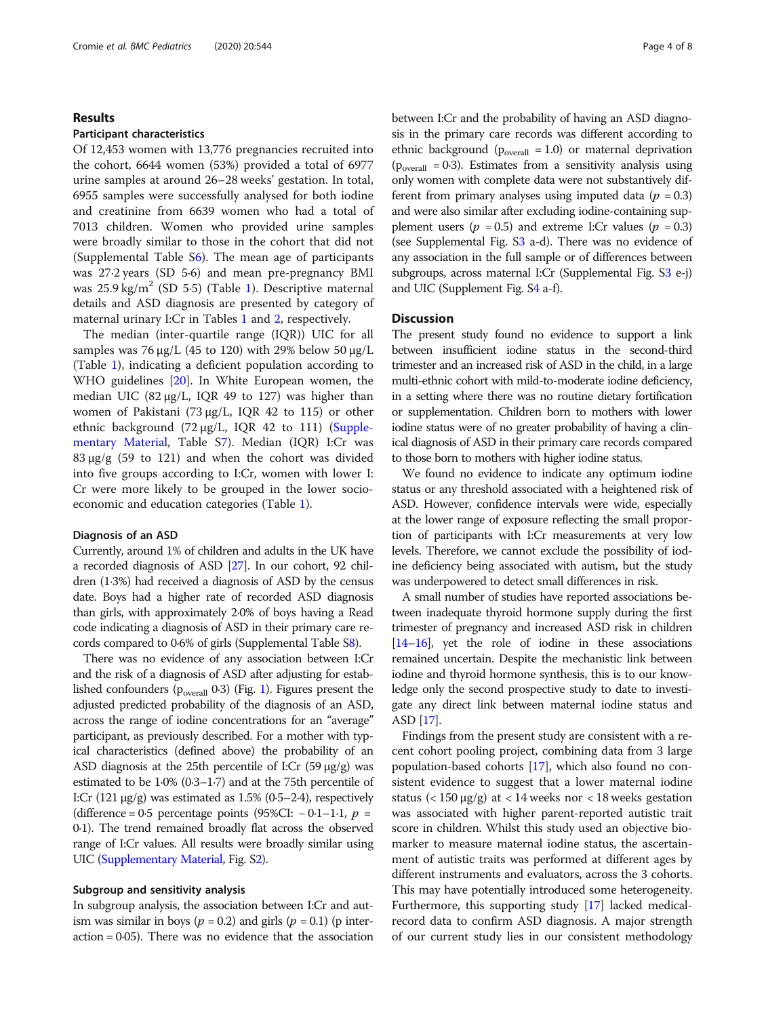#### Results

#### Participant characteristics

Of 12,453 women with 13,776 pregnancies recruited into the cohort, 6644 women (53%) provided a total of 6977 urine samples at around 26–28 weeks' gestation. In total, 6955 samples were successfully analysed for both iodine and creatinine from 6639 women who had a total of 7013 children. Women who provided urine samples were broadly similar to those in the cohort that did not (Supplemental Table S[6\)](#page-6-0). The mean age of participants was 27·2 years (SD 5·6) and mean pre-pregnancy BMI was  $25.9 \text{ kg/m}^2$  (SD 5.5) (Table [1\)](#page-4-0). Descriptive maternal details and ASD diagnosis are presented by category of maternal urinary I:Cr in Tables [1](#page-4-0) and [2](#page-5-0), respectively.

The median (inter-quartile range (IQR)) UIC for all samples was 76 μg/L (45 to 120) with 29% below 50 μg/L (Table [1](#page-4-0)), indicating a deficient population according to WHO guidelines [[20\]](#page-7-0). In White European women, the median UIC  $(82 \mu g/L, IQR 49$  to 127) was higher than women of Pakistani (73 μg/L, IQR 42 to 115) or other ethnic background (72 μg/L, IQR 42 to 111) [\(Supple](#page-6-0)[mentary Material](#page-6-0), Table [S7\)](#page-6-0). Median (IQR) I:Cr was  $83 \mu g/g$  (59 to 121) and when the cohort was divided into five groups according to I:Cr, women with lower I: Cr were more likely to be grouped in the lower socioeconomic and education categories (Table [1\)](#page-4-0).

#### Diagnosis of an ASD

Currently, around 1% of children and adults in the UK have a recorded diagnosis of ASD [\[27](#page-7-0)]. In our cohort, 92 children (1·3%) had received a diagnosis of ASD by the census date. Boys had a higher rate of recorded ASD diagnosis than girls, with approximately 2·0% of boys having a Read code indicating a diagnosis of ASD in their primary care records compared to 0·6% of girls (Supplemental Table [S8](#page-6-0)).

There was no evidence of any association between I:Cr and the risk of a diagnosis of ASD after adjusting for established confounders ( $p_{overall}$  0·3) (Fig. [1\)](#page-5-0). Figures present the adjusted predicted probability of the diagnosis of an ASD, across the range of iodine concentrations for an "average" participant, as previously described. For a mother with typical characteristics (defined above) the probability of an ASD diagnosis at the 25th percentile of I:Cr (59 μg/g) was estimated to be 1·0% (0·3–1·7) and at the 75th percentile of I:Cr  $(121 \mu g/g)$  was estimated as 1.5%  $(0.5-2.4)$ , respectively (difference = 0·5 percentage points (95%CI:  $-0.1-1.1$ ,  $p =$ 0·1). The trend remained broadly flat across the observed range of I:Cr values. All results were broadly similar using UIC [\(Supplementary Material](#page-6-0), Fig. [S2\)](#page-6-0).

#### Subgroup and sensitivity analysis

In subgroup analysis, the association between I:Cr and autism was similar in boys ( $p = 0.2$ ) and girls ( $p = 0.1$ ) (p inter $action = 0.05$ . There was no evidence that the association between I:Cr and the probability of having an ASD diagnosis in the primary care records was different according to ethnic background ( $p_{overall} = 1.0$ ) or maternal deprivation  $(p_{\text{overall}} = 0.3)$ . Estimates from a sensitivity analysis using only women with complete data were not substantively different from primary analyses using imputed data ( $p = 0.3$ ) and were also similar after excluding iodine-containing supplement users ( $p = 0.5$ ) and extreme I:Cr values ( $p = 0.3$ ) (see Supplemental Fig. [S3](#page-6-0) a-d). There was no evidence of any association in the full sample or of differences between subgroups, across maternal I:Cr (Supplemental Fig. [S3](#page-6-0) e-j) and UIC (Supplement Fig. S[4](#page-6-0) a-f).

#### **Discussion**

The present study found no evidence to support a link between insufficient iodine status in the second-third trimester and an increased risk of ASD in the child, in a large multi-ethnic cohort with mild-to-moderate iodine deficiency, in a setting where there was no routine dietary fortification or supplementation. Children born to mothers with lower iodine status were of no greater probability of having a clinical diagnosis of ASD in their primary care records compared to those born to mothers with higher iodine status.

We found no evidence to indicate any optimum iodine status or any threshold associated with a heightened risk of ASD. However, confidence intervals were wide, especially at the lower range of exposure reflecting the small proportion of participants with I:Cr measurements at very low levels. Therefore, we cannot exclude the possibility of iodine deficiency being associated with autism, but the study was underpowered to detect small differences in risk.

A small number of studies have reported associations between inadequate thyroid hormone supply during the first trimester of pregnancy and increased ASD risk in children [[14](#page-7-0)–[16](#page-7-0)], yet the role of iodine in these associations remained uncertain. Despite the mechanistic link between iodine and thyroid hormone synthesis, this is to our knowledge only the second prospective study to date to investigate any direct link between maternal iodine status and ASD [\[17](#page-7-0)].

Findings from the present study are consistent with a recent cohort pooling project, combining data from 3 large population-based cohorts [\[17\]](#page-7-0), which also found no consistent evidence to suggest that a lower maternal iodine status ( $<$  150  $\mu$ g/g) at  $<$  14 weeks nor  $<$  18 weeks gestation was associated with higher parent-reported autistic trait score in children. Whilst this study used an objective biomarker to measure maternal iodine status, the ascertainment of autistic traits was performed at different ages by different instruments and evaluators, across the 3 cohorts. This may have potentially introduced some heterogeneity. Furthermore, this supporting study [\[17\]](#page-7-0) lacked medicalrecord data to confirm ASD diagnosis. A major strength of our current study lies in our consistent methodology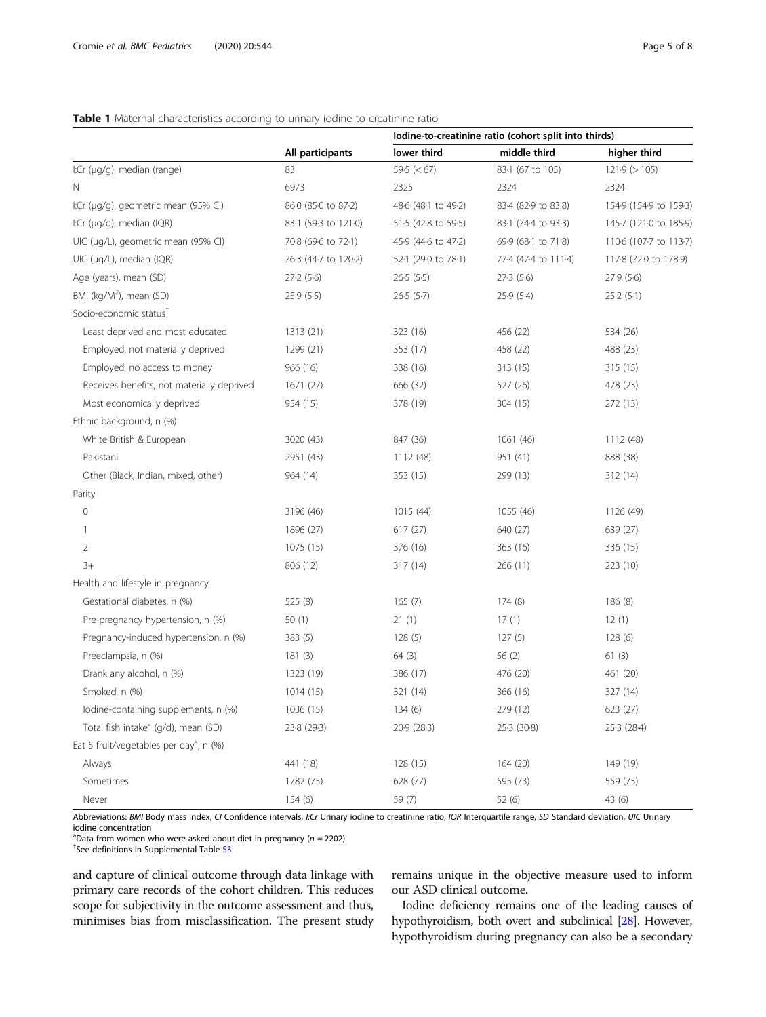#### <span id="page-4-0"></span>Table 1 Maternal characteristics according to urinary iodine to creatinine ratio

|                                                     |                      | Iodine-to-creatinine ratio (cohort split into thirds) |                      |                        |
|-----------------------------------------------------|----------------------|-------------------------------------------------------|----------------------|------------------------|
|                                                     | All participants     | lower third                                           | middle third         | higher third           |
| I:Cr (µg/g), median (range)                         | 83                   | 59.5 $(< 67)$                                         | 83-1 (67 to 105)     | $121.9$ ( $> 105$ )    |
| Ν                                                   | 6973                 | 2325                                                  | 2324                 | 2324                   |
| I:Cr (µg/g), geometric mean (95% CI)                | 860 (850 to 872)     | 48.6 (48.1 to 49.2)                                   | 83-4 (82-9 to 83-8)  | 154.9 (154.9 to 159.3) |
| I:Cr (µg/g), median (IQR)                           | 83-1 (59-3 to 121-0) | 51.5 (42.8 to 59.5)                                   | 83-1 (74-4 to 93-3)  | 145.7 (121.0 to 185.9) |
| UIC (µg/L), geometric mean (95% CI)                 | 70.8 (69.6 to 72.1)  | 45.9 (44.6 to 47.2)                                   | 69.9 (68.1 to 71.8)  | 110-6 (107-7 to 113-7) |
| UIC (µg/L), median (IQR)                            | 76.3 (44.7 to 120.2) | 52-1 (29-0 to 78-1)                                   | 77-4 (47-4 to 111-4) | 117-8 (72-0 to 178-9)  |
| Age (years), mean (SD)                              | 27.2(5.6)            | 26.5(5.5)                                             | 27.3(5.6)            | 27.9(5.6)              |
| BMI (kg/M <sup>2</sup> ), mean (SD)                 | 25.9(5.5)            | 26.5(5.7)                                             | 25.9(5.4)            | 25.2(5.1)              |
| Socio-economic status <sup>†</sup>                  |                      |                                                       |                      |                        |
| Least deprived and most educated                    | 1313 (21)            | 323 (16)                                              | 456 (22)             | 534 (26)               |
| Employed, not materially deprived                   | 1299 (21)            | 353 (17)                                              | 458 (22)             | 488 (23)               |
| Employed, no access to money                        | 966 (16)             | 338 (16)                                              | 313 (15)             | 315(15)                |
| Receives benefits, not materially deprived          | 1671 (27)            | 666 (32)                                              | 527 (26)             | 478 (23)               |
| Most economically deprived                          | 954 (15)             | 378 (19)                                              | 304 (15)             | 272 (13)               |
| Ethnic background, n (%)                            |                      |                                                       |                      |                        |
| White British & European                            | 3020 (43)            | 847 (36)                                              | 1061 (46)            | 1112 (48)              |
| Pakistani                                           | 2951 (43)            | 1112 (48)                                             | 951 (41)             | 888 (38)               |
| Other (Black, Indian, mixed, other)                 | 964 (14)             | 353 (15)                                              | 299 (13)             | 312 (14)               |
| Parity                                              |                      |                                                       |                      |                        |
| $\circ$                                             | 3196 (46)            | 1015 (44)                                             | 1055 (46)            | 1126 (49)              |
| 1                                                   | 1896 (27)            | 617(27)                                               | 640 (27)             | 639 (27)               |
| $\overline{2}$                                      | 1075 (15)            | 376 (16)                                              | 363 (16)             | 336 (15)               |
| $3+$                                                | 806 (12)             | 317 (14)                                              | 266 (11)             | 223 (10)               |
| Health and lifestyle in pregnancy                   |                      |                                                       |                      |                        |
| Gestational diabetes, n (%)                         | 525 (8)              | 165(7)                                                | 174(8)               | 186 (8)                |
| Pre-pregnancy hypertension, n (%)                   | 50(1)                | 21(1)                                                 | 17(1)                | 12(1)                  |
| Pregnancy-induced hypertension, n (%)               | 383(5)               | 128(5)                                                | 127(5)               | 128(6)                 |
| Preeclampsia, n (%)                                 | 181(3)               | 64(3)                                                 | 56(2)                | 61(3)                  |
| Drank any alcohol, n (%)                            | 1323 (19)            | 386 (17)                                              | 476 (20)             | 461 (20)               |
| Smoked, n (%)                                       | 1014(15)             | 321 (14)                                              | 366 (16)             | 327 (14)               |
| lodine-containing supplements, n (%)                | 1036 (15)            | 134(6)                                                | 279 (12)             | 623 (27)               |
| Total fish intake <sup>a</sup> (g/d), mean (SD)     | 23.8 (29.3)          | 20.9 (28.3)                                           | 25.3(30.8)           | 25.3 (28.4)            |
| Eat 5 fruit/vegetables per day <sup>a</sup> , n (%) |                      |                                                       |                      |                        |
| Always                                              | 441 (18)             | 128 (15)                                              | 164 (20)             | 149 (19)               |
| Sometimes                                           | 1782 (75)            | 628 (77)                                              | 595 (73)             | 559 (75)               |
|                                                     |                      |                                                       |                      |                        |

Abbreviations: BMI Body mass index, CI Confidence intervals, I:Cr Urinary iodine to creatinine ratio, IQR Interquartile range, SD Standard deviation, UIC Urinary iodine concentration

Never 154 (6) 59 (7) 59 (7) 52 (6) 43 (6)

<sup>a</sup>Data from women who were asked about diet in pregnancy ( $n = 2202$ )

<sup>+</sup>See definitions in Supplemental Table [S3](#page-6-0)

and capture of clinical outcome through data linkage with primary care records of the cohort children. This reduces scope for subjectivity in the outcome assessment and thus, minimises bias from misclassification. The present study

remains unique in the objective measure used to inform our ASD clinical outcome.

Iodine deficiency remains one of the leading causes of hypothyroidism, both overt and subclinical [\[28\]](#page-7-0). However, hypothyroidism during pregnancy can also be a secondary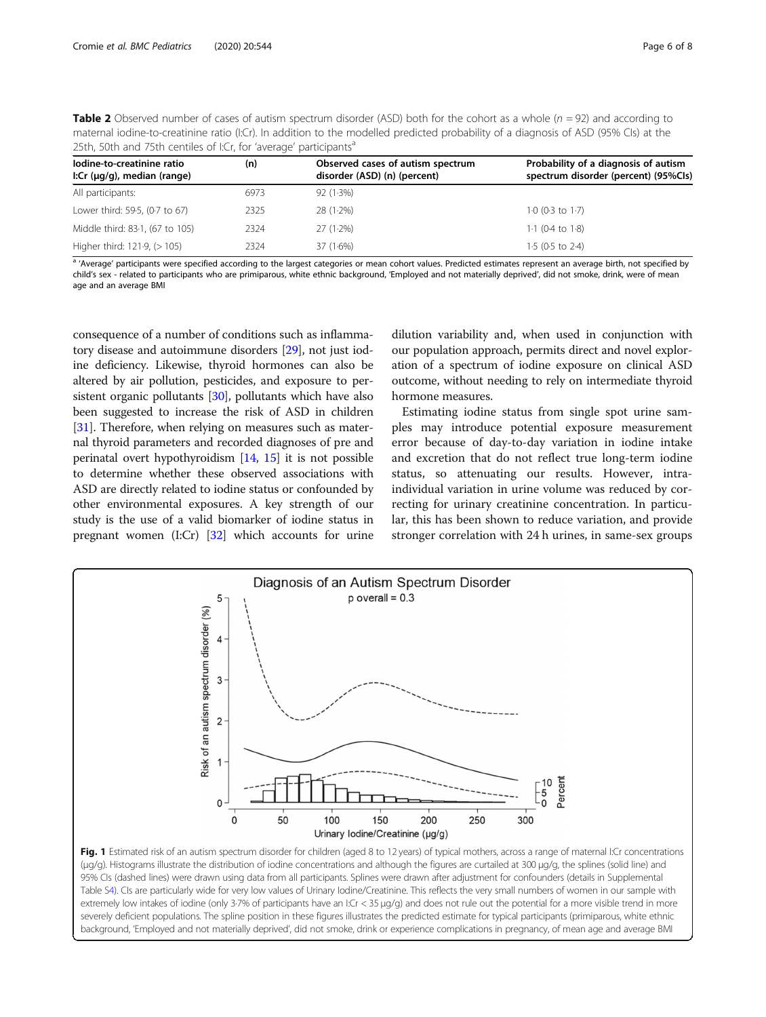<span id="page-5-0"></span>

| <b>Table 2</b> Observed number of cases of autism spectrum disorder (ASD) both for the cohort as a whole $(n = 92)$ and according to |
|--------------------------------------------------------------------------------------------------------------------------------------|
| maternal iodine-to-creatinine ratio (I:Cr). In addition to the modelled predicted probability of a diagnosis of ASD (95% CIs) at the |
| 25th, 50th and 75th centiles of I:Cr, for 'average' participants <sup>a</sup>                                                        |

| lodine-to-creatinine ratio<br>I:Cr $(\mu q/q)$ , median (range) | (n)  | Observed cases of autism spectrum<br>disorder (ASD) (n) (percent) | Probability of a diagnosis of autism<br>spectrum disorder (percent) (95%Cls) |  |
|-----------------------------------------------------------------|------|-------------------------------------------------------------------|------------------------------------------------------------------------------|--|
| All participants:                                               | 6973 | 92 (1.3%)                                                         |                                                                              |  |
| Lower third: 59-5, (0-7 to 67)                                  | 2325 | $28(1.2\%)$                                                       | $1.0$ (0.3 to 1.7)                                                           |  |
| Middle third: 83-1, (67 to 105)                                 | 2324 | $27(1.2\%)$                                                       | $1.1$ (0.4 to $1.8$ )                                                        |  |
| Higher third: $121.9$ , ( $> 105$ )                             | 2324 | $37(1.6\%)$                                                       | $1.5$ (0.5 to 2.4)                                                           |  |

a 'Average' participants were specified according to the largest categories or mean cohort values. Predicted estimates represent an average birth, not specified by child's sex - related to participants who are primiparous, white ethnic background, 'Employed and not materially deprived', did not smoke, drink, were of mean age and an average BMI

consequence of a number of conditions such as inflammatory disease and autoimmune disorders [\[29\]](#page-7-0), not just iodine deficiency. Likewise, thyroid hormones can also be altered by air pollution, pesticides, and exposure to persistent organic pollutants  $[30]$  $[30]$ , pollutants which have also been suggested to increase the risk of ASD in children [[31](#page-7-0)]. Therefore, when relying on measures such as maternal thyroid parameters and recorded diagnoses of pre and perinatal overt hypothyroidism [[14](#page-7-0), [15\]](#page-7-0) it is not possible to determine whether these observed associations with ASD are directly related to iodine status or confounded by other environmental exposures. A key strength of our study is the use of a valid biomarker of iodine status in pregnant women (I:Cr) [[32](#page-7-0)] which accounts for urine

dilution variability and, when used in conjunction with our population approach, permits direct and novel exploration of a spectrum of iodine exposure on clinical ASD outcome, without needing to rely on intermediate thyroid hormone measures.

Estimating iodine status from single spot urine samples may introduce potential exposure measurement error because of day-to-day variation in iodine intake and excretion that do not reflect true long-term iodine status, so attenuating our results. However, intraindividual variation in urine volume was reduced by correcting for urinary creatinine concentration. In particular, this has been shown to reduce variation, and provide stronger correlation with 24 h urines, in same-sex groups



95% CIs (dashed lines) were drawn using data from all participants. Splines were drawn after adjustment for confounders (details in Supplemental Table [S4\)](#page-6-0). CIs are particularly wide for very low values of Urinary Iodine/Creatinine. This reflects the very small numbers of women in our sample with extremely low intakes of iodine (only 3-7% of participants have an I:Cr < 35 μg/g) and does not rule out the potential for a more visible trend in more severely deficient populations. The spline position in these figures illustrates the predicted estimate for typical participants (primiparous, white ethnic background, 'Employed and not materially deprived', did not smoke, drink or experience complications in pregnancy, of mean age and average BMI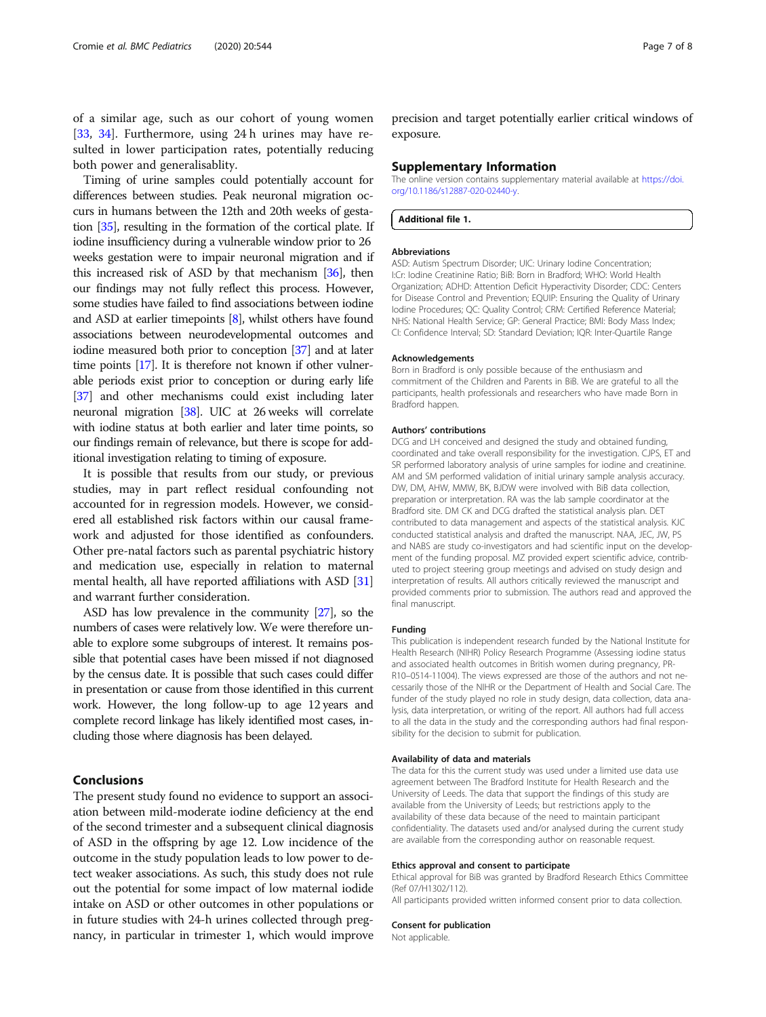<span id="page-6-0"></span>of a similar age, such as our cohort of young women [[33,](#page-7-0) [34](#page-7-0)]. Furthermore, using 24 h urines may have resulted in lower participation rates, potentially reducing both power and generalisablity.

Timing of urine samples could potentially account for differences between studies. Peak neuronal migration occurs in humans between the 12th and 20th weeks of gestation [\[35\]](#page-7-0), resulting in the formation of the cortical plate. If iodine insufficiency during a vulnerable window prior to 26 weeks gestation were to impair neuronal migration and if this increased risk of ASD by that mechanism [\[36\]](#page-7-0), then our findings may not fully reflect this process. However, some studies have failed to find associations between iodine and ASD at earlier timepoints [[8](#page-7-0)], whilst others have found associations between neurodevelopmental outcomes and iodine measured both prior to conception [\[37\]](#page-7-0) and at later time points [\[17](#page-7-0)]. It is therefore not known if other vulnerable periods exist prior to conception or during early life [[37](#page-7-0)] and other mechanisms could exist including later neuronal migration [\[38\]](#page-7-0). UIC at 26 weeks will correlate with iodine status at both earlier and later time points, so our findings remain of relevance, but there is scope for additional investigation relating to timing of exposure.

It is possible that results from our study, or previous studies, may in part reflect residual confounding not accounted for in regression models. However, we considered all established risk factors within our causal framework and adjusted for those identified as confounders. Other pre-natal factors such as parental psychiatric history and medication use, especially in relation to maternal mental health, all have reported affiliations with ASD [[31](#page-7-0)] and warrant further consideration.

ASD has low prevalence in the community [\[27\]](#page-7-0), so the numbers of cases were relatively low. We were therefore unable to explore some subgroups of interest. It remains possible that potential cases have been missed if not diagnosed by the census date. It is possible that such cases could differ in presentation or cause from those identified in this current work. However, the long follow-up to age 12 years and complete record linkage has likely identified most cases, including those where diagnosis has been delayed.

#### Conclusions

The present study found no evidence to support an association between mild-moderate iodine deficiency at the end of the second trimester and a subsequent clinical diagnosis of ASD in the offspring by age 12. Low incidence of the outcome in the study population leads to low power to detect weaker associations. As such, this study does not rule out the potential for some impact of low maternal iodide intake on ASD or other outcomes in other populations or in future studies with 24-h urines collected through pregnancy, in particular in trimester 1, which would improve

precision and target potentially earlier critical windows of exposure.

#### Supplementary Information

The online version contains supplementary material available at [https://doi.](https://doi.org/10.1186/s12887-020-02440-y) [org/10.1186/s12887-020-02440-y](https://doi.org/10.1186/s12887-020-02440-y).

Additional file 1.

#### Abbreviations

ASD: Autism Spectrum Disorder; UIC: Urinary Iodine Concentration; I:Cr: Iodine Creatinine Ratio; BiB: Born in Bradford; WHO: World Health Organization; ADHD: Attention Deficit Hyperactivity Disorder; CDC: Centers for Disease Control and Prevention; EQUIP: Ensuring the Quality of Urinary Iodine Procedures; QC: Quality Control; CRM: Certified Reference Material; NHS: National Health Service; GP: General Practice; BMI: Body Mass Index; CI: Confidence Interval; SD: Standard Deviation; IQR: Inter-Quartile Range

#### Acknowledgements

Born in Bradford is only possible because of the enthusiasm and commitment of the Children and Parents in BiB. We are grateful to all the participants, health professionals and researchers who have made Born in Bradford happen.

#### Authors' contributions

DCG and LH conceived and designed the study and obtained funding, coordinated and take overall responsibility for the investigation. CJPS, ET and SR performed laboratory analysis of urine samples for iodine and creatinine. AM and SM performed validation of initial urinary sample analysis accuracy. DW, DM, AHW, MMW, BK, BJDW were involved with BiB data collection, preparation or interpretation. RA was the lab sample coordinator at the Bradford site. DM CK and DCG drafted the statistical analysis plan. DET contributed to data management and aspects of the statistical analysis. KJC conducted statistical analysis and drafted the manuscript. NAA, JEC, JW, PS and NABS are study co-investigators and had scientific input on the development of the funding proposal. MZ provided expert scientific advice, contributed to project steering group meetings and advised on study design and interpretation of results. All authors critically reviewed the manuscript and provided comments prior to submission. The authors read and approved the final manuscript.

#### Funding

This publication is independent research funded by the National Institute for Health Research (NIHR) Policy Research Programme (Assessing iodine status and associated health outcomes in British women during pregnancy, PR-R10–0514-11004). The views expressed are those of the authors and not necessarily those of the NIHR or the Department of Health and Social Care. The funder of the study played no role in study design, data collection, data analysis, data interpretation, or writing of the report. All authors had full access to all the data in the study and the corresponding authors had final responsibility for the decision to submit for publication.

#### Availability of data and materials

The data for this the current study was used under a limited use data use agreement between The Bradford Institute for Health Research and the University of Leeds. The data that support the findings of this study are available from the University of Leeds; but restrictions apply to the availability of these data because of the need to maintain participant confidentiality. The datasets used and/or analysed during the current study are available from the corresponding author on reasonable request.

#### Ethics approval and consent to participate

Ethical approval for BiB was granted by Bradford Research Ethics Committee (Ref 07/H1302/112).

All participants provided written informed consent prior to data collection.

#### Consent for publication

Not applicable.